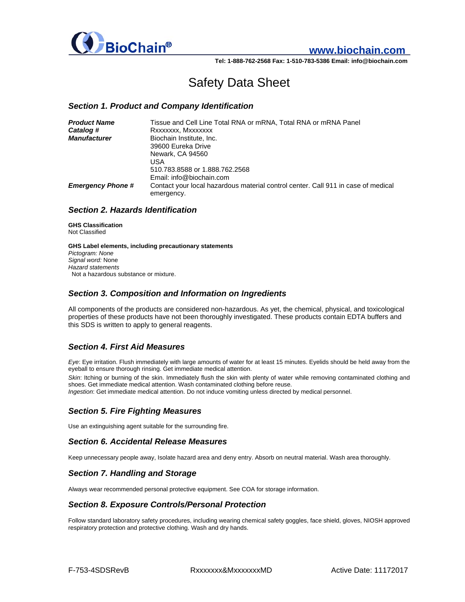

# **www.biochain.com**

**Tel: 1-888-762-2568 Fax: 1-510-783-5386 Email: info@biochain.com**

# Safety Data Sheet

### *Section 1. Product and Company Identification*

| Tissue and Cell Line Total RNA or mRNA, Total RNA or mRNA Panel                                 |
|-------------------------------------------------------------------------------------------------|
| Rxxxxxxx, Mxxxxxxx                                                                              |
| Biochain Institute, Inc.                                                                        |
| 39600 Eureka Drive                                                                              |
| Newark, CA 94560                                                                                |
| USA                                                                                             |
| 510.783.8588 or 1.888.762.2568                                                                  |
| Email: info@biochain.com                                                                        |
| Contact your local hazardous material control center. Call 911 in case of medical<br>emergency. |
|                                                                                                 |

### *Section 2. Hazards Identification*

**GHS Classification**  Not Classified

**GHS Label elements, including precautionary statements**  *Pictogram: None Signal word:* None *Hazard statements*  Not a hazardous substance or mixture.

### *Section 3. Composition and Information on Ingredients*

All components of the products are considered non-hazardous. As yet, the chemical, physical, and toxicological properties of these products have not been thoroughly investigated. These products contain EDTA buffers and this SDS is written to apply to general reagents.

# *Section 4. First Aid Measures*

*Eye*: Eye irritation. Flush immediately with large amounts of water for at least 15 minutes. Eyelids should be held away from the eyeball to ensure thorough rinsing. Get immediate medical attention.

*Skin*: Itching or burning of the skin. Immediately flush the skin with plenty of water while removing contaminated clothing and shoes. Get immediate medical attention. Wash contaminated clothing before reuse.

*Ingestion*: Get immediate medical attention. Do not induce vomiting unless directed by medical personnel.

# *Section 5. Fire Fighting Measures*

Use an extinguishing agent suitable for the surrounding fire.

# *Section 6. Accidental Release Measures*

Keep unnecessary people away, Isolate hazard area and deny entry. Absorb on neutral material. Wash area thoroughly.

# *Section 7. Handling and Storage*

Always wear recommended personal protective equipment. See COA for storage information.

#### *Section 8. Exposure Controls/Personal Protection*

Follow standard laboratory safety procedures, including wearing chemical safety goggles, face shield, gloves, NIOSH approved respiratory protection and protective clothing. Wash and dry hands.